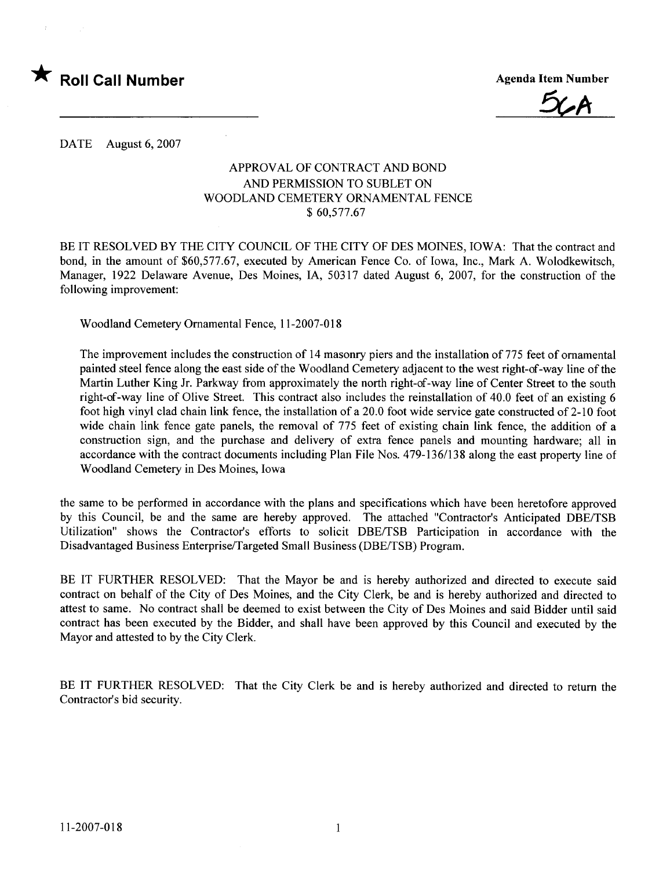

5(A

DATE August 6, 2007

#### APPROVAL OF CONTRACT AND BOND AND PERMISSION TO SUBLET ON WOODLAND CEMETERY ORNAMENTAL FENCE \$ 60,577.67

BE IT RESOLVED BY THE CITY COUNCIL OF THE CITY OF DES MOINES, IOWA: That the contract and bond, in the amount of \$60,577.67, executed by American Fence Co. of Iowa, Inc., Mark A. Wolodkewitsch, Manager, 1922 Delaware Avenue, Des Moines, lA, 50317 dated August 6, 2007, for the construction of the following improvement:

Woodland Cemetery Ornamental Fence, 11-2007-018

The improvement includes the construction of 14 masonry piers and the installation of 775 feet of ornamental painted steel fence along the east side of the Woodland Cemetery adjacent to the west right-of-way line of the Martin Luther King Jr. Parkway from approximately the north right-of-way line of Center Street to the south right-of-way line of Olive Street. This contract also includes the reinstallation of 40.0 feet of an existing 6 foot high vinyl clad chain link fence, the installation of a 20.0 foot wide service gate constructed of  $2-10$  foot wide chain link fence gate panels, the removal of 775 feet of existing chain link fence, the addition of a construction sign, and the purchase and delivery of extra fence panels and mounting hardware; all in accordance with the contract documents including Plan File Nos. 479-136/138 along the east property line of Woodland Cemetery in Des Moines, Iowa

the same to be performed in accordance with the plans and specifications which have been heretofore approved by this Council, be and the same are hereby approved. The attached "Contractor's Anticipated DBE/TSB Utilization" shows the Contractor's efforts to solicit DBE/TSB Participation in accordance with the Disadvantaged Business Enterprise/Targeted Small Business (DBE/TSB) Program.

BE IT FURTHER RESOLVED: That the Mayor be and is hereby authorized and directed to execute said contract on behalf of the City of Des Moines, and the City Clerk, be and is hereby authorized and directed to attest to same. No contract shall be deemed to exist between the City of Des Moines and said Bidder until said contract has been executed by the Bidder, and shall have been approved by this Council and executed by the Mayor and attested to by the City Clerk.

BE IT FURTHER RESOLVED: That the City Clerk be and is hereby authorized and directed to return the Contractor's bid security.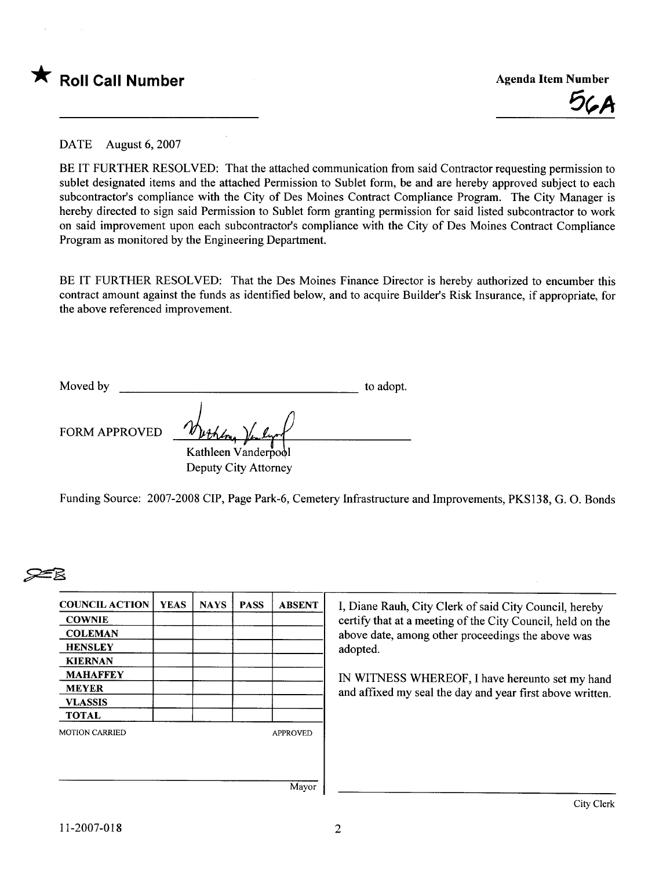



DATE August 6, 2007

BE IT FURTHER RESOLVED: That the attached communication from said Contractor requesting permission to sublet designated items and the attached Permission to Sublet form, be and are hereby approved subject to each subcontractor's compliance with the City of Des Moines Contract Compliance Program. The City Manager is hereby directed to sign said Permission to Sublet form granting permission for said listed subcontractor to work on said improvement upon each subcontractor's compliance with the City of Des Moines Contract Compliance Program as monitored by the Engineering Department.

BE IT FURTHER RESOLVED: That the Des Moines Finance Director is hereby authorized to encumber this contract amount against the funds as identified below, and to acquire Builder's Risk Insurance, if appropriate, for the above referenced improvement.

| Moved by             |                      | to adopt. |
|----------------------|----------------------|-----------|
| <b>FORM APPROVED</b> | Werken "             |           |
|                      | Kathleen Vanderpool  |           |
|                      | Deputy City Attorney |           |

Funding Source: 2007-2008 CIP, Page Park-6, Cemetery Infrastructure and Improvements, PKS138, G. O. Bonds

# $\geq$

| <b>COUNCIL ACTION</b> | <b>YEAS</b> | <b>NAYS</b> | <b>PASS</b> | <b>ABSENT</b>   |
|-----------------------|-------------|-------------|-------------|-----------------|
| <b>COWNIE</b>         |             |             |             |                 |
| <b>COLEMAN</b>        |             |             |             |                 |
| <b>HENSLEY</b>        |             |             |             |                 |
| <b>KIERNAN</b>        |             |             |             |                 |
| <b>MAHAFFEY</b>       |             |             |             |                 |
| <b>MEYER</b>          |             |             |             |                 |
| <b>VLASSIS</b>        |             |             |             |                 |
| <b>TOTAL</b>          |             |             |             |                 |
| <b>MOTION CARRIED</b> |             |             |             | <b>APPROVED</b> |
|                       |             |             |             |                 |
|                       |             |             |             |                 |
|                       |             |             |             |                 |
|                       |             |             |             | Mayor           |

I, Diane Rauh, City Clerk of said City Council, hereby certify that at a meeting of the City Council, held on the above date, among other proceedings the above was adopted.

IN WITNESS WHEREOF, I have hereunto set my hand and affixed my seal the day and year first above written.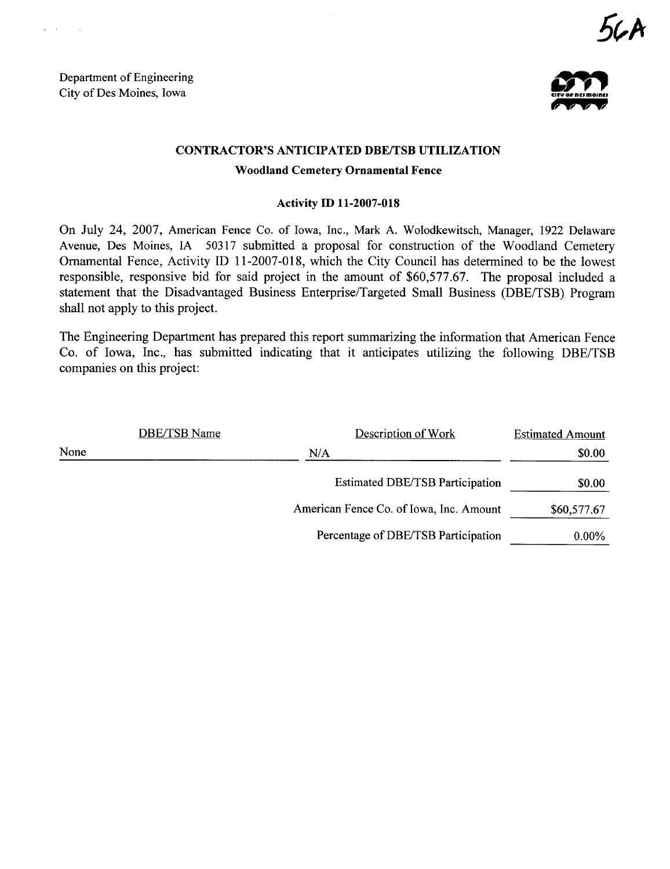Department of Engineering Department of Engineering<br>City of Des Moines, Iowa

 $\sim$ 



#### CONTRACTOR'S ANTICIPATED DBE/TSB UTILIZATION

#### Woodland Cemetery Ornamental Fence

#### Activity ID 11-2007-018

On July 24, 2007, American Fence Co. of Iowa, Inc., Mark A. Wolodkewitsch, Manager, 1922 Delaware Avenue, Des Moines, IA 50317 submitted a proposal for construction of the Woodland Cemetery Ornamental Fence, Activity ID 11-2007-018, which the City Council has determined to be the lowest responsible, responsive bid for said project in the amount of \$60,577.67. The proposal included a statement that the Disadvantaged Business Enterprise/Targeted Small Business (DBE/TSB) Program shall not apply to this project.

The Engineering Deparment has prepared this report summarizing the information that American Fence Co. of Iowa, Inc., has submitted indicating that it anticipates utilizing the following DBE/TSB companies on this project:

|      | DBE/TSB Name | Description of Work                     | <b>Estimated Amount</b> |
|------|--------------|-----------------------------------------|-------------------------|
| None |              | N/A                                     | \$0.00                  |
|      |              | <b>Estimated DBE/TSB Participation</b>  | \$0.00                  |
|      |              | American Fence Co. of Iowa, Inc. Amount | \$60,577.67             |
|      |              | Percentage of DBE/TSB Participation     | $0.00\%$                |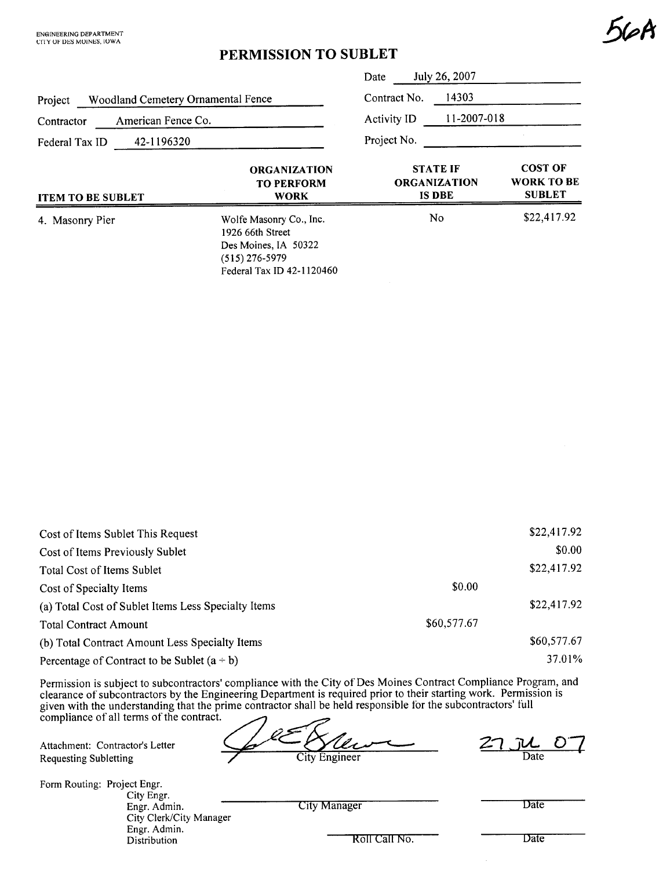### PERMISSION TO SUBLET

|                                               |                                                                                         | July 26, 2007<br>Date |                                                         |                                                      |
|-----------------------------------------------|-----------------------------------------------------------------------------------------|-----------------------|---------------------------------------------------------|------------------------------------------------------|
| Woodland Cemetery Ornamental Fence<br>Project |                                                                                         | Contract No.          | 14303                                                   |                                                      |
| American Fence Co.<br>Contractor              |                                                                                         | <b>Activity ID</b>    | 11-2007-018                                             |                                                      |
| 42-1196320<br>Federal Tax ID                  |                                                                                         | Project No.           |                                                         |                                                      |
| <b>ITEM TO BE SUBLET</b>                      | <b>ORGANIZATION</b><br><b>TO PERFORM</b><br><b>WORK</b>                                 |                       | <b>STATE IF</b><br><b>ORGANIZATION</b><br><b>IS DBE</b> | <b>COST OF</b><br><b>WORK TO BE</b><br><b>SUBLET</b> |
| 4. Masonry Pier                               | Wolfe Masonry Co., Inc.<br>1926 66th Street<br>Des Moines, IA 50322<br>$(515)$ 276-5979 |                       | No.                                                     | \$22,417.92                                          |

Federal Tax ID 42-1120460

| Cost of Items Sublet This Request                   |             | \$22,417.92 |
|-----------------------------------------------------|-------------|-------------|
| Cost of Items Previously Sublet                     |             | \$0.00      |
| Total Cost of Items Sublet                          |             | \$22,417.92 |
| Cost of Specialty Items                             | \$0.00      |             |
| (a) Total Cost of Sublet Items Less Specialty Items |             | \$22,417.92 |
| <b>Total Contract Amount</b>                        | \$60,577.67 |             |
| (b) Total Contract Amount Less Specialty Items      |             | \$60,577.67 |
| Percentage of Contract to be Sublet $(a \div b)$    |             | 37.01%      |

Permission is subject to subcontractors' compliance with the City of Des Moines Contract Compliance Program, and clearance of subcontractors by the Engineering Department is required prior to their starting work. Permission is given with the understanding that the prime contractor shall be held responsible for the subcontractors' full compliance of all terms of the contract.

Attachment: Contractor's Letter  $\frac{Q}{L}$  and  $\frac{Q}{L}$  and  $\frac{Q}{L}$  and  $\frac{Q}{L}$  and  $\frac{Q}{L}$   $\frac{Q}{L}$   $\frac{Q}{L}$   $\frac{Q}{L}$   $\frac{Q}{L}$   $\frac{Q}{L}$   $\frac{Q}{L}$   $\frac{Q}{L}$   $\frac{Q}{L}$   $\frac{Q}{L}$   $\frac{Q}{L}$   $\frac{Q}{L}$   $\frac{Q}{L}$   $\frac{$ 

Form Routing: Project Engr. City Engr. Engr. Admin. City Clerk/City Manager Engr. Admin. Distribution

City Manager Date

Roll Call No. Date